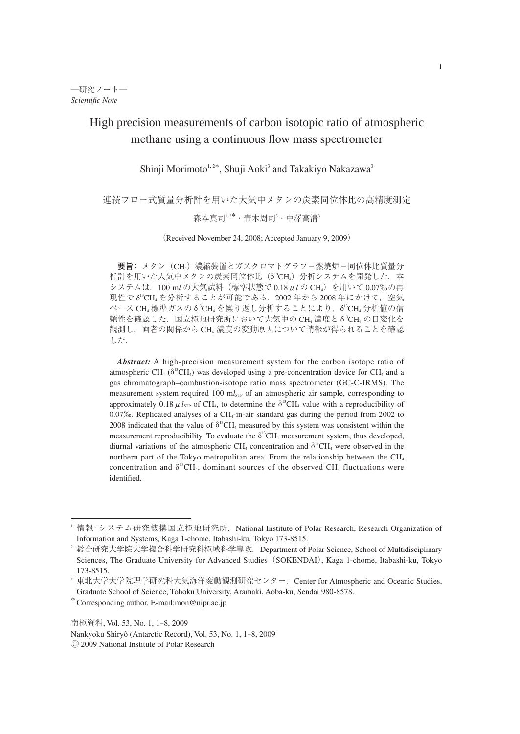# High precision measurements of carbon isotopic ratio of atmospheric methane using a continuous flow mass spectrometer

Shinji Morimoto<sup>1,2\*</sup>, Shuji Aoki<sup>3</sup> and Takakiyo Nakazawa<sup>3</sup>

連続フロー式質量分析計を用いた大気中メタンの炭素同位体比の高精度測定

# 森本真司<sup>1,2\*</sup> · 青木周司<sup>3</sup> · 中澤高清<sup>3</sup>

(Received November 24, 2008; Accepted January 9, 2009)

要旨: メタン (CH) 濃縮装置とガスクロマトグラフ - 燃焼炉 - 同位体比質量分 析計を用いた大気中メタンの炭素同位体比(δ<sup>i</sup>CH4)分析システムを開発した.本 システムは, 100 ml の大気試料 (標準状態で 0.18 μl の CH<sub>4</sub>) を用いて 0.07‰の再 現性でδ<sup>13</sup>CH4 を分析することが可能である.2002 年から 2008 年にかけて,空気 ベース CH4 標準ガスの δ<sup>13</sup>CH4 を繰り返し分析することにより, δ<sup>13</sup>CH4 分析値の信 頼性を確認した. 国立極地研究所において大気中の CH4 濃度と δ<sup>3</sup>CH4 の日変化を 観測し、両者の関係から CH4 濃度の変動原因について情報が得られることを確認 した.

*Abstract:* A high-precision measurement system for the carbon isotope ratio of atmospheric CH<sub>4</sub> ( $\delta^{13}$ CH<sub>4</sub>) was developed using a pre-concentration device for CH<sub>4</sub> and a gas chromatograph–combustion-isotope ratio mass spectrometer (GC-C-IRMS). The measurement system required 100 ml<sub>STP</sub> of an atmospheric air sample, corresponding to approximately 0.18  $\mu l_{\text{STP}}$  of CH<sub>4</sub>, to determine the  $\delta^{13}$ CH<sub>4</sub> value with a reproducibility of 0.07‰. Replicated analyses of a CH<sub>4</sub>-in-air standard gas during the period from 2002 to 2008 indicated that the value of  $\delta^{13}CH_4$  measured by this system was consistent within the measurement reproducibility. To evaluate the  $\delta^{13}CH_4$  measurement system, thus developed, diurnal variations of the atmospheric CH<sub>4</sub> concentration and  $\delta^{13}CH_4$  were observed in the northern part of the Tokyo metropolitan area. From the relationship between the  $CH<sub>4</sub>$ concentration and  $\delta^{13}CH_4$ , dominant sources of the observed CH<sub>4</sub> fluctuations were identified.

情報・システム研究機構国立極地研究所.National Institute of Polar Research, Research Organization of Information and Systems, Kaga 1-chome, Itabashi-ku, Tokyo 173-8515.

<sup>2</sup> 総合研究大学院大学複合科学研究科極域科学専攻.Department of Polar Science, School of Multidisciplinary Sciences, The Graduate University for Advanced Studies (SOKENDAI), Kaga 1-chome, Itabashi-ku, Tokyo 173-8515.

<sup>&</sup>lt;sup>3</sup> 東北大学大学院理学研究科大気海洋変動観測研究センター. Center for Atmospheric and Oceanic Studies, Graduate School of Science, Tohoku University, Aramaki, Aoba-ku, Sendai 980-8578.

<sup>\*</sup>Corresponding author. E-mail:mon@nipr.ac.jp

Nankyoku Shiryô (Antarctic Record), Vol. 53, No. 1, 1-8, 2009

<sup>Ⓒ</sup> 2009 National Institute of Polar Research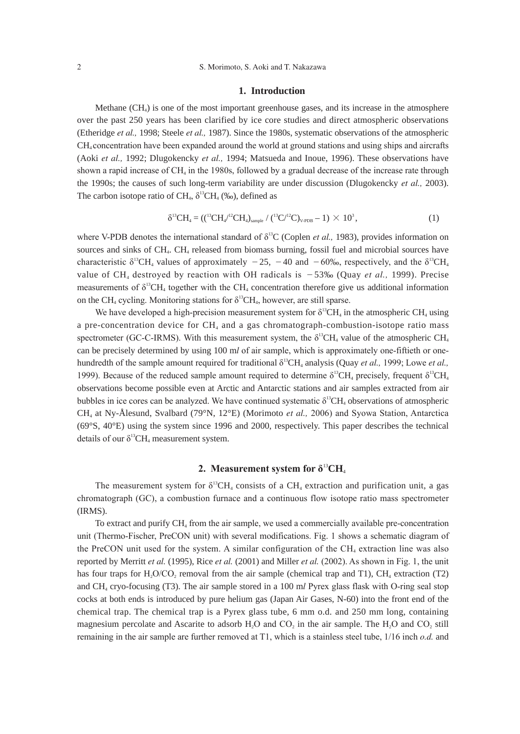## **1. Introduction**

Methane (CH4) is one of the most important greenhouse gases, and its increase in the atmosphere over the past 250 years has been clarified by ice core studies and direct atmospheric observations (Etheridge *et al.,* 1998; Steele *et al.,* 1987). Since the 1980s, systematic observations of the atmospheric CH4 concentration have been expanded around the world at ground stations and using ships and aircrafts (Aoki *et al.,* 1992; Dlugokencky *et al.,* 1994; Matsueda and Inoue, 1996). These observations have shown a rapid increase of CH<sub>4</sub> in the 1980s, followed by a gradual decrease of the increase rate through the 1990s; the causes of such long-term variability are under discussion (Dlugokencky *et al.,* 2003). The carbon isotope ratio of CH<sub>4</sub>,  $\delta^{13}CH_4$  (‰), defined as

$$
\delta^{13}CH_4 = ((^{13}CH_4)^{12}CH_4)_{\text{sample}} / (^{13}C^{12}C)_{\text{V-PDB}} - 1) \times 10^3,
$$
 (1)

where V-PDB denotes the international standard of  $\delta^{13}C$  (Coplen *et al.*, 1983), provides information on sources and sinks of CH<sub>4</sub>. CH<sub>4</sub> released from biomass burning, fossil fuel and microbial sources have characteristic  $\delta^{13}CH_4$  values of approximately  $-25$ ,  $-40$  and  $-60\%$ , respectively, and the  $\delta^{13}CH_4$ value of CH<sub>4</sub> destroyed by reaction with OH radicals is  $-53%$  (Quay *et al.,* 1999). Precise measurements of  $\delta^{13}CH_4$  together with the CH<sub>4</sub> concentration therefore give us additional information on the CH<sub>4</sub> cycling. Monitoring stations for  $\delta^{13}CH_4$ , however, are still sparse.

We have developed a high-precision measurement system for  $\delta^{13}CH_4$  in the atmospheric CH<sub>4</sub> using a pre-concentration device for  $CH<sub>4</sub>$  and a gas chromatograph-combustion-isotope ratio mass spectrometer (GC-C-IRMS). With this measurement system, the  $\delta^{13}CH_4$  value of the atmospheric CH<sub>4</sub> can be precisely determined by using 100 m*l* of air sample, which is approximately one-fiftieth or onehundredth of the sample amount required for traditional  $\delta^{13}CH_4$  analysis (Quay *et al.*, 1999; Lowe *et al.*, 1999). Because of the reduced sample amount required to determine  $δ<sup>13</sup>CH<sub>4</sub>$  precisely, frequent  $δ<sup>13</sup>CH<sub>4</sub>$ observations become possible even at Arctic and Antarctic stations and air samples extracted from air bubbles in ice cores can be analyzed. We have continued systematic  $\delta^{13}CH_4$  observations of atmospheric CH4 at Ny-Ålesund, Svalbard (79°N, 12°E) (Morimoto *et al.,* 2006) and Syowa Station, Antarctica (69°S, 40°E) using the system since 1996 and 2000, respectively. This paper describes the technical details of our  $\delta^{13}CH_4$  measurement system.

# **2. Measurement system for δ**<sup>13</sup>**CH**<sup>4</sup>

The measurement system for  $\delta^{13}CH_4$  consists of a CH<sub>4</sub> extraction and purification unit, a gas chromatograph (GC), a combustion furnace and a continuous flow isotope ratio mass spectrometer (IRMS).

To extract and purify CH4 from the air sample, we used a commercially available pre-concentration unit (Thermo-Fischer, PreCON unit) with several modifications. Fig. 1 shows a schematic diagram of the PreCON unit used for the system. A similar configuration of the  $CH<sub>4</sub>$  extraction line was also reported by Merritt *et al.* (1995), Rice *et al.* (2001) and Miller *et al.* (2002). As shown in Fig. 1, the unit has four traps for  $H_2O/CO_2$  removal from the air sample (chemical trap and T1), CH<sub>4</sub> extraction (T2) and CH4 cryo-focusing (T3). The air sample stored in a 100 m*l* Pyrex glass flask with O-ring seal stop cocks at both ends is introduced by pure helium gas (Japan Air Gases, N-60) into the front end of the chemical trap. The chemical trap is a Pyrex glass tube, 6 mm o.d. and 250 mm long, containing magnesium percolate and Ascarite to adsorb  $H<sub>2</sub>O$  and  $CO<sub>2</sub>$  in the air sample. The  $H<sub>2</sub>O$  and  $CO<sub>2</sub>$  still remaining in the air sample are further removed at T1, which is a stainless steel tube, 1/16 inch *o.d.* and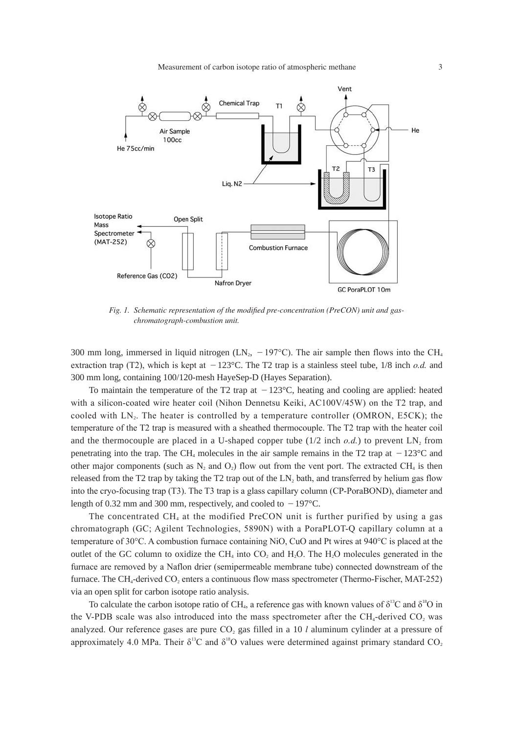

*Fig. 1. Schematic representation of the modified pre-concentration (PreCON) unit and gaschromatograph-combustion unit.*

300 mm long, immersed in liquid nitrogen (LN<sub>2</sub>,  $-197^{\circ}$ C). The air sample then flows into the CH<sub>4</sub> extraction trap (T2), which is kept at  $-123^{\circ}$ C. The T2 trap is a stainless steel tube,  $1/8$  inch *o.d.* and 300 mm long, containing 100/120-mesh HayeSep-D (Hayes Separation).

To maintain the temperature of the T2 trap at  $-123^{\circ}$ C, heating and cooling are applied: heated with a silicon-coated wire heater coil (Nihon Dennetsu Keiki, AC100V/45W) on the T2 trap, and cooled with LN2. The heater is controlled by a temperature controller (OMRON, E5CK); the temperature of the T2 trap is measured with a sheathed thermocouple. The T2 trap with the heater coil and the thermocouple are placed in a U-shaped copper tube  $(1/2 \text{ inch } o.d.)$  to prevent LN, from penetrating into the trap. The CH<sub>4</sub> molecules in the air sample remains in the T2 trap at  $-123^{\circ}$ C and other major components (such as  $N_2$  and  $O_2$ ) flow out from the vent port. The extracted CH<sub>4</sub> is then released from the T2 trap by taking the T2 trap out of the LN, bath, and transferred by helium gas flow into the cryo-focusing trap (T3). The T3 trap is a glass capillary column (CP-PoraBOND), diameter and length of 0.32 mm and 300 mm, respectively, and cooled to  $-197^{\circ}$ C.

The concentrated  $CH_4$  at the modified PreCON unit is further purified by using a gas chromatograph (GC; Agilent Technologies, 5890N) with a PoraPLOT-Q capillary column at a temperature of 30°C. A combustion furnace containing NiO, CuO and Pt wires at 940°C is placed at the outlet of the GC column to oxidize the  $CH<sub>4</sub>$  into CO<sub>2</sub> and H<sub>2</sub>O. The H<sub>2</sub>O molecules generated in the furnace are removed by a Naflon drier (semipermeable membrane tube) connected downstream of the furnace. The CH<sub>4</sub>-derived CO<sub>2</sub> enters a continuous flow mass spectrometer (Thermo-Fischer, MAT-252) via an open split for carbon isotope ratio analysis.

To calculate the carbon isotope ratio of CH<sub>4</sub>, a reference gas with known values of  $\delta^{13}C$  and  $\delta^{18}O$  in the V-PDB scale was also introduced into the mass spectrometer after the  $CH<sub>4</sub>$ -derived CO<sub>2</sub> was analyzed. Our reference gases are pure CO<sub>2</sub> gas filled in a 10 *l* aluminum cylinder at a pressure of approximately 4.0 MPa. Their  $\delta^{13}C$  and  $\delta^{18}O$  values were determined against primary standard CO<sub>2</sub>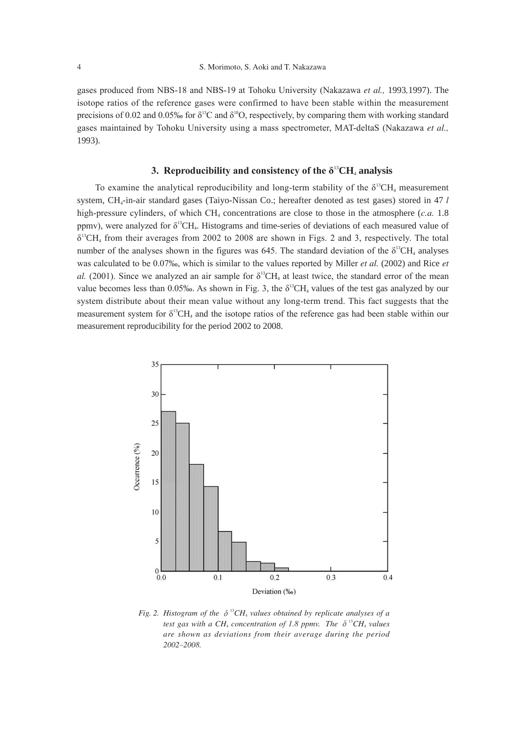gases produced from NBS-18 and NBS-19 at Tohoku University (Nakazawa *et al.,* 1993*,*1997). The isotope ratios of the reference gases were confirmed to have been stable within the measurement precisions of 0.02 and 0.05‰ for  $\delta^{13}C$  and  $\delta^{18}O$ , respectively, by comparing them with working standard gases maintained by Tohoku University using a mass spectrometer, MAT-deltaS (Nakazawa *et al.,* 1993).

# **3. Reproducibility and consistency of the**  $\delta^{13}CH_4$  **analysis**

To examine the analytical reproducibility and long-term stability of the  $\delta^{13}CH_4$  measurement system, CH<sub>4</sub>-in-air standard gases (Taiyo-Nissan Co.; hereafter denoted as test gases) stored in 47 *l* high-pressure cylinders, of which CH<sub>4</sub> concentrations are close to those in the atmosphere (*c.a.* 1.8) ppmv), were analyzed for  $\delta^{13}CH_4$ . Histograms and time-series of deviations of each measured value of  $\delta$ <sup>13</sup>CH<sub>4</sub> from their averages from 2002 to 2008 are shown in Figs. 2 and 3, respectively. The total number of the analyses shown in the figures was 645. The standard deviation of the  $\delta^{13}CH_4$  analyses was calculated to be 0.07‰, which is similar to the values reported by Miller *et al.* (2002) and Rice *et al.* (2001). Since we analyzed an air sample for  $\delta^{13}CH_4$  at least twice, the standard error of the mean value becomes less than 0.05‰. As shown in Fig. 3, the  $\delta^{13}CH_4$  values of the test gas analyzed by our system distribute about their mean value without any long-term trend. This fact suggests that the measurement system for  $\delta^{13}CH_4$  and the isotope ratios of the reference gas had been stable within our measurement reproducibility for the period 2002 to 2008.



Fig. 2. Histogram of the  $\delta^{^{13}}CH_4$  values obtained by replicate analyses of a *test gas with a CH<sub>4</sub></sub> concentration of 1.8 ppmv. The*  $\delta^{^{13}}CH_4$  *values are shown as deviations from their average during the period 2002*-*2008.*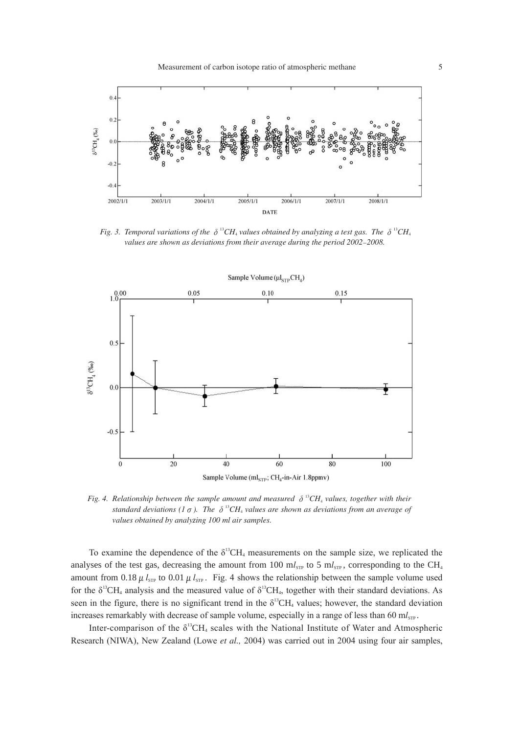

*Fig.* 3. Temporal variations of the  $\delta$  <sup>13</sup>CH<sub>4</sub> values obtained by analyzing a test gas. The  $\delta$  <sup>13</sup>CH<sub>4</sub> *values are shown as deviations from their average during the period 2002*-*2008.*



*Fig.* 4. Relationship between the sample amount and measured  $\delta$  <sup>13</sup>CH<sub>4</sub> values, together with their *standard deviations* (1  $\sigma$ ). The  $\delta$  <sup>13</sup>CH<sub>4</sub> values are shown as deviations from an average of *values obtained by analyzing 100 ml air samples.*

To examine the dependence of the  $\delta^{13}CH_4$  measurements on the sample size, we replicated the analyses of the test gas, decreasing the amount from 100  $m_{s_{\text{NP}}}$  to 5  $m_{s_{\text{TP}}}$ , corresponding to the CH<sub>4</sub> amount from 0.18  $\mu$   $l_{STP}$  to 0.01  $\mu$   $l_{STP}$ . Fig. 4 shows the relationship between the sample volume used for the  $\delta^{13}CH_4$  analysis and the measured value of  $\delta^{13}CH_4$ , together with their standard deviations. As seen in the figure, there is no significant trend in the  $\delta^{13}CH_4$  values; however, the standard deviation increases remarkably with decrease of sample volume, especially in a range of less than 60 ml<sub>STP</sub>.

Inter-comparison of the  $\delta^{13}CH_4$  scales with the National Institute of Water and Atmospheric Research (NIWA), New Zealand (Lowe *et al.,* 2004) was carried out in 2004 using four air samples,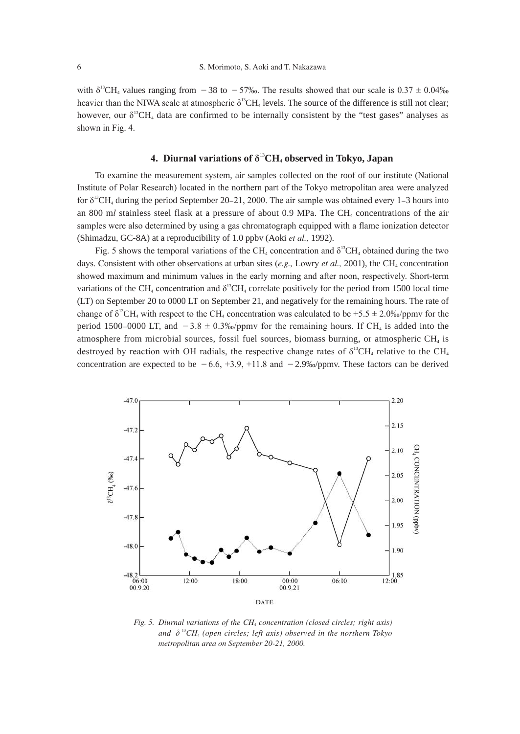with  $\delta^{13}$ CH<sub>4</sub> values ranging from -38 to -57‰. The results showed that our scale is 0.37  $\pm$  0.04‰ heavier than the NIWA scale at atmospheric δ<sup>13</sup>CH<sub>4</sub> levels. The source of the difference is still not clear; however, our  $\delta^{13}CH_4$  data are confirmed to be internally consistent by the "test gases" analyses as shown in Fig. 4.

# **4. Diurnal variations of δ**<sup>13</sup>**CH**4 **observed in Tokyo, Japan**

To examine the measurement system, air samples collected on the roof of our institute (National Institute of Polar Research) located in the northern part of the Tokyo metropolitan area were analyzed for  $\delta^{13}$ CH<sub>4</sub> during the period September 20–21, 2000. The air sample was obtained every 1–3 hours into an 800 ml stainless steel flask at a pressure of about 0.9 MPa. The CH<sub>4</sub> concentrations of the air samples were also determined by using a gas chromatograph equipped with a flame ionization detector (Shimadzu, GC-8A) at a reproducibility of 1.0 ppbv (Aoki *et al.,* 1992).

Fig. 5 shows the temporal variations of the CH<sub>4</sub> concentration and  $\delta^{13}CH_4$  obtained during the two days. Consistent with other observations at urban sites  $(e.g.,$  Lowry  $et al., 2001)$ , the CH<sub>4</sub> concentration showed maximum and minimum values in the early morning and after noon, respectively. Short-term variations of the CH<sub>4</sub> concentration and  $\delta^{13}$ CH<sub>4</sub> correlate positively for the period from 1500 local time (LT) on September 20 to 0000 LT on September 21, and negatively for the remaining hours. The rate of change of  $\delta^{13}CH_4$  with respect to the CH<sub>4</sub> concentration was calculated to be +5.5  $\pm$  2.0‰/ppmv for the period 1500-0000 LT, and  $-3.8 \pm 0.3\%$  /ppmv for the remaining hours. If CH<sub>4</sub> is added into the atmosphere from microbial sources, fossil fuel sources, biomass burning, or atmospheric CH4 is destroyed by reaction with OH radials, the respective change rates of  $\delta^{13}CH_4$  relative to the CH<sub>4</sub> concentration are expected to be  $-6.6$ ,  $+3.9$ ,  $+11.8$  and  $-2.9%$ /ppmv. These factors can be derived



*Fig. 5. Diurnal variations of the CH*4 *concentration (closed circles; right axis)*  and  $\delta^{^{13}}CH_4$  (open circles; left axis) observed in the northern Tokyo *metropolitan area on September 20-21, 2000.*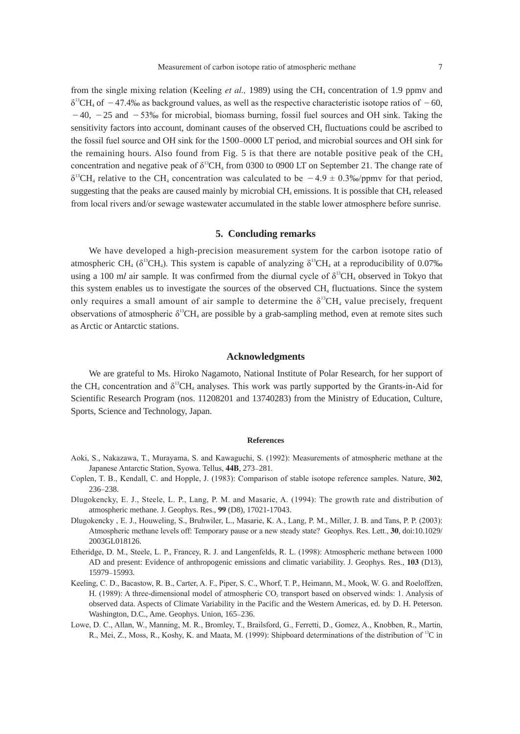from the single mixing relation (Keeling *et al.,* 1989) using the CH<sub>4</sub> concentration of 1.9 ppmy and  $\delta^{13}$ CH<sub>4</sub> of  $-47.4\%$  as background values, as well as the respective characteristic isotope ratios of  $-60$ ,  $-40$ ,  $-25$  and  $-53%$  for microbial, biomass burning, fossil fuel sources and OH sink. Taking the sensitivity factors into account, dominant causes of the observed CH<sub>4</sub> fluctuations could be ascribed to the fossil fuel source and OH sink for the 1500-0000 LT period, and microbial sources and OH sink for the remaining hours. Also found from Fig. 5 is that there are notable positive peak of the  $CH<sub>4</sub>$ concentration and negative peak of  $\delta^{13}CH_4$  from 0300 to 0900 LT on September 21. The change rate of  $\delta^{13}CH_4$  relative to the CH<sub>4</sub> concentration was calculated to be  $-4.9 \pm 0.3\%$ /ppmy for that period, suggesting that the peaks are caused mainly by microbial  $CH_4$  emissions. It is possible that  $CH_4$  released from local rivers and/or sewage wastewater accumulated in the stable lower atmosphere before sunrise.

### **5. Concluding remarks**

We have developed a high-precision measurement system for the carbon isotope ratio of atmospheric CH<sub>4</sub> ( $\delta^{13}$ CH<sub>4</sub>). This system is capable of analyzing  $\delta^{13}$ CH<sub>4</sub> at a reproducibility of 0.07<sub>%</sub> using a 100 ml air sample. It was confirmed from the diurnal cycle of  $\delta^{13}CH_4$  observed in Tokyo that this system enables us to investigate the sources of the observed CH4 fluctuations. Since the system only requires a small amount of air sample to determine the  $\delta^{13}CH_4$  value precisely, frequent observations of atmospheric  $\delta^{13}CH_4$  are possible by a grab-sampling method, even at remote sites such as Arctic or Antarctic stations.

#### **Acknowledgments**

We are grateful to Ms. Hiroko Nagamoto, National Institute of Polar Research, for her support of the CH<sub>4</sub> concentration and  $\delta^{13}$ CH<sub>4</sub> analyses. This work was partly supported by the Grants-in-Aid for Scientific Research Program (nos. 11208201 and 13740283) from the Ministry of Education, Culture, Sports, Science and Technology, Japan.

#### **References**

- Aoki, S., Nakazawa, T., Murayama, S. and Kawaguchi, S. (1992): Measurements of atmospheric methane at the Japanese Antarctic Station, Syowa. Tellus, **44B**, 273-281.
- Coplen, T. B., Kendall, C. and Hopple, J. (1983): Comparison of stable isotope reference samples. Nature, **302**, 236-238.
- Dlugokencky, E. J., Steele, L. P., Lang, P. M. and Masarie, A. (1994): The growth rate and distribution of atmospheric methane. J. Geophys. Res., **99** (D8), 17021-17043.
- Dlugokencky , E. J., Houweling, S., Bruhwiler, L., Masarie, K. A., Lang, P. M., Miller, J. B. and Tans, P. P. (2003): Atmospheric methane levels off: Temporary pause or a new steady state? Geophys. Res. Lett., **30**, doi:10.1029/ 2003GL018126.
- Etheridge, D. M., Steele, L. P., Francey, R. J. and Langenfelds, R. L. (1998): Atmospheric methane between 1000 AD and present: Evidence of anthropogenic emissions and climatic variability. J. Geophys. Res., **103** (D13), 15979-15993.
- Keeling, C. D., Bacastow, R. B., Carter, A. F., Piper, S. C., Whorf, T. P., Heimann, M., Mook, W. G. and Roeloffzen, H. (1989): A three-dimensional model of atmospheric CO<sub>2</sub> transport based on observed winds: 1. Analysis of observed data. Aspects of Climate Variability in the Pacific and the Western Americas, ed. by D. H. Peterson. Washington, D.C., Ame. Geophys. Union, 165-236.
- Lowe, D. C., Allan, W., Manning, M. R., Bromley, T., Brailsford, G., Ferretti, D., Gomez, A., Knobben, R., Martin, R., Mei, Z., Moss, R., Koshy, K. and Maata, M. (1999): Shipboard determinations of the distribution of <sup>13</sup>C in